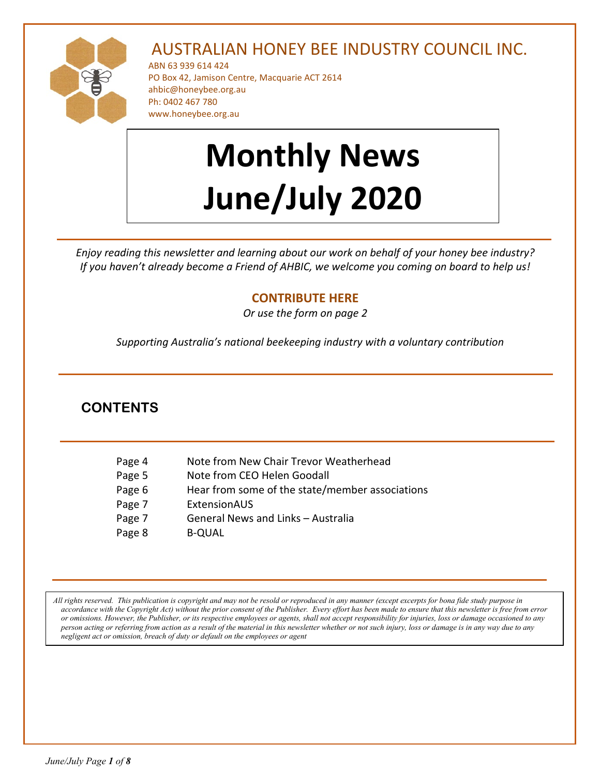

# AUSTRALIAN HONEY BEE INDUSTRY COUNCIL INC.

ABN 63 939 614 424 PO Box 42, Jamison Centre, Macquarie ACT 2614 [ahbic@honeybee.org.au](mailto:ahbic@honeybee.org.au) Ph: 0402 467 780 www.honeybee.org.au

# **Monthly News June/July 2020**

*Enjoy reading this newsletter and learning about our work on behalf of your honey bee industry? If you haven't already become a Friend of AHBIC, we welcome you coming on board to help us!* 

# **[CONTRIBUTE HERE](https://honeybee.org.au/friends-of-ahbic-voluntary-contribution/)**

*Or use the form on page 2*

*Supporting Australia's national beekeeping industry with a voluntary contribution*

# **CONTENTS**

| Page 4 | Note from New Chair Trevor Weatherhead          |
|--------|-------------------------------------------------|
| Page 5 | Note from CEO Helen Goodall                     |
| Page 6 | Hear from some of the state/member associations |
| Page 7 | ExtensionAUS                                    |
| Page 7 | General News and Links - Australia              |
| Page 8 | <b>B-QUAL</b>                                   |

*All rights reserved. This publication is copyright and may not be resold or reproduced in any manner (except excerpts for bona fide study purpose in accordance with the Copyright Act) without the prior consent of the Publisher. Every effort has been made to ensure that this newsletter is free from error or omissions. However, the Publisher, or its respective employees or agents, shall not accept responsibility for injuries, loss or damage occasioned to any person acting or referring from action as a result of the material in this newsletter whether or not such injury, loss or damage is in any way due to any negligent act or omission, breach of duty or default on the employees or agent*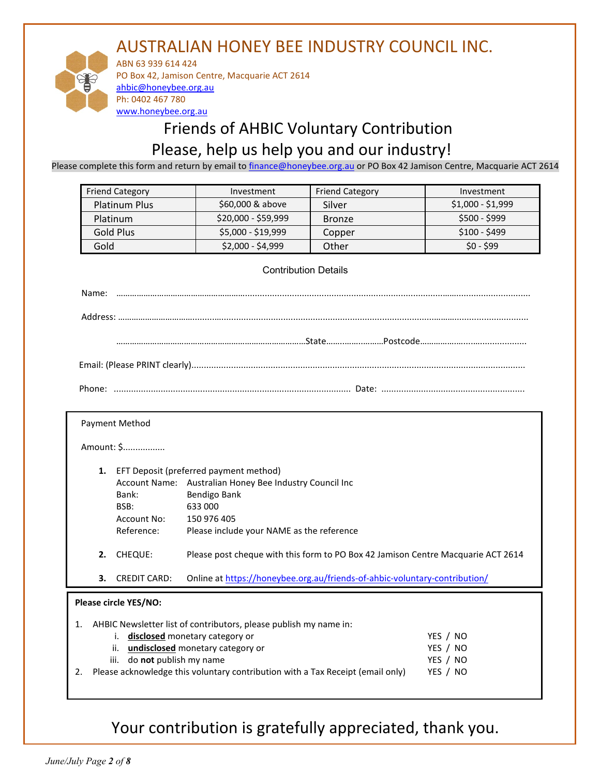# AUSTRALIAN HONEY BEE INDUSTRY COUNCIL INC.



ABN 63 939 614 424 PO Box 42, Jamison Centre, Macquarie ACT 2614 [ahbic@honeybee.org.au](mailto:ahbic@honeybee.org.au) Ph: 0402 467 780 [www.honeybee.org.au](http://www.honeybee.org.au/)

# Friends of AHBIC Voluntary Contribution Please, help us help you and our industry!

Please complete this form and return by email to [finance@honeybee.org.au](mailto:finance@honeybee.org.au) or PO Box 42 Jamison Centre, Macquarie ACT 2614

| <b>Friend Category</b><br><b>Friend Category</b><br>Investment |                     | Investment    |                   |
|----------------------------------------------------------------|---------------------|---------------|-------------------|
| <b>Platinum Plus</b>                                           | \$60,000 & above    | Silver        | $$1,000 - $1,999$ |
| Platinum                                                       | $$20,000 - $59,999$ | <b>Bronze</b> | $$500 - $999$     |
| Gold Plus                                                      | \$5,000 - \$19,999  | Copper        | $$100 - $499$     |
| Gold                                                           | \$2,000 - \$4,999   | Other         | $$0 - $99$        |

#### Contribution Details

|  | Date: I |  |
|--|---------|--|

| Payment Method |  |
|----------------|--|
|----------------|--|

Amount: \$.................

- **1.** EFT Deposit (preferred payment method) Account Name: Australian Honey Bee Industry Council Inc Bank: Bendigo Bank BSB: 633 000 Account No: 150 976 405 Reference: Please include your NAME as the reference **2.** CHEQUE: Please post cheque with this form to PO Box 42 Jamison Centre Macquarie ACT 2614
- 

## **3.** CREDIT CARD: Online at<https://honeybee.org.au/friends-of-ahbic-voluntary-contribution/>

#### **Please circle YES/NO:**

|    | 1. AHBIC Newsletter list of contributors, please publish my name in:           |          |  |  |
|----|--------------------------------------------------------------------------------|----------|--|--|
|    | i. disclosed monetary category or                                              | YES / NO |  |  |
|    | ii. undisclosed monetary category or                                           | YES / NO |  |  |
|    | iii. do not publish my name                                                    | YES / NO |  |  |
| 2. | Please acknowledge this voluntary contribution with a Tax Receipt (email only) | YES / NO |  |  |
|    |                                                                                |          |  |  |

Your contribution is gratefully appreciated, thank you.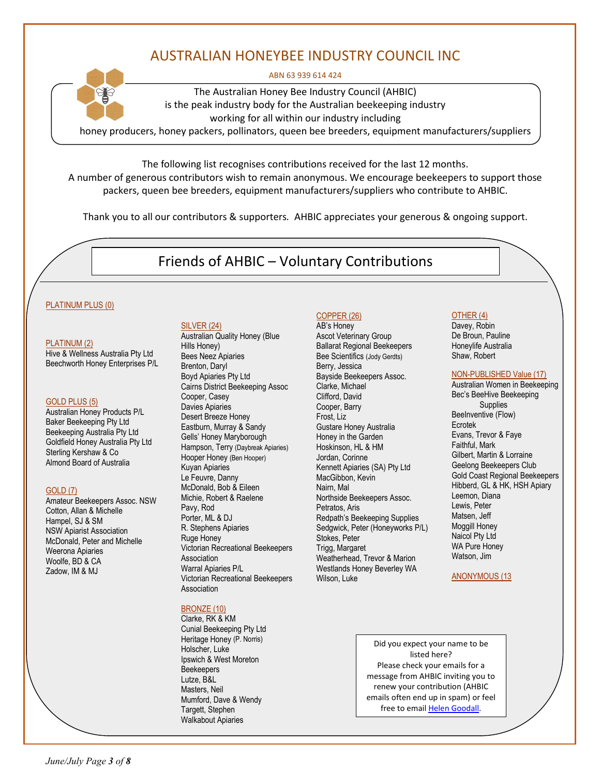# AUSTRALIAN HONEYBEE INDUSTRY COUNCIL INC

#### ABN 63 939 614 424



The Australian Honey Bee Industry Council (AHBIC) is the peak industry body for the Australian beekeeping industry working for all within our industry including

honey producers, honey packers, pollinators, queen bee breeders, equipment manufacturers/suppliers

The following list recognises contributions received for the last 12 months. A number of generous contributors wish to remain anonymous. We encourage beekeepers to support those packers, queen bee breeders, equipment manufacturers/suppliers who contribute to AHBIC.

Thank you to all our contributors & supporters*.* AHBIC appreciates your generous & ongoing support.

# Friends of AHBIC – Voluntary Contributions

#### PLATINUM PLUS (0)

#### PLATINUM (2)

Hive & Wellness Australia Pty Ltd Beechworth Honey Enterprises P/L

#### GOLD PLUS (5)

Australian Honey Products P/L Baker Beekeeping Pty Ltd Beekeeping Australia Pty Ltd Goldfield Honey Australia Pty Ltd Sterling Kershaw & Co Almond Board of Australia

#### GOLD (7)

Amateur Beekeepers Assoc. NSW Cotton, Allan & Michelle Hampel, SJ & SM NSW Apiarist Association McDonald, Peter and Michelle Weerona Apiaries Woolfe, BD & CA Zadow, IM & MJ

#### SILVER (24)

Australian Quality Honey (Blue Hills Honey) Bees Neez Apiaries Brenton, Daryl Boyd Apiaries Pty Ltd Cairns District Beekeeping Assoc Cooper, Casey Davies Apiaries Desert Breeze Honey Eastburn, Murray & Sandy Gells' Honey Maryborough Hampson, Terry (Daybreak Apiaries) Hooper Honey (Ben Hooper) Kuyan Apiaries Le Feuvre, Danny McDonald, Bob & Eileen Michie, Robert & Raelene Pavy, Rod Porter, ML & DJ R. Stephens Apiaries Ruge Honey Victorian Recreational Beekeepers Association Warral Apiaries P/L Victorian Recreational Beekeepers Association

#### BRONZE (10)

Clarke, RK & KM Cunial Beekeeping Pty Ltd Heritage Honey (P. Norris) Holscher, Luke Ipswich & West Moreton **Beekeepers** Lutze, B&L Masters, Neil Mumford, Dave & Wendy Targett, Stephen Walkabout Apiaries

#### COPPER (26)

AB's Honey Ascot Veterinary Group Ballarat Regional Beekeepers Bee Scientifics (Jody Gerdts) Berry, Jessica Bayside Beekeepers Assoc. Clarke, Michael Clifford, David Cooper, Barry Frost, Liz Gustare Honey Australia Honey in the Garden Hoskinson, HL & HM Jordan, Corinne Kennett Apiaries (SA) Pty Ltd MacGibbon, Kevin Nairn, Mal Northside Beekeepers Assoc. Petratos, Aris Redpath's Beekeeping Supplies Sedgwick, Peter (Honeyworks P/L) Stokes, Peter Trigg, Margaret Weatherhead, Trevor & Marion Westlands Honey Beverley WA Wilson, Luke

#### OTHER (4)

Davey, Robin De Broun, Pauline Honeylife Australia Shaw, Robert

#### NON-PUBLISHED Value (17)

Australian Women in Beekeeping Bec's BeeHive Beekeeping **Supplies** BeeInventive (Flow) Ecrotek Evans, Trevor & Faye Faithful, Mark Gilbert, Martin & Lorraine Geelong Beekeepers Club Gold Coast Regional Beekeepers Hibberd, GL & HK, HSH Apiary Leemon, Diana Lewis, Peter Matsen, Jeff Moggill Honey Naicol Pty Ltd WA Pure Honey Watson, Jim

#### ANONYMOUS (13

Did you expect your name to be listed here? Please check your emails for a message from AHBIC inviting you to renew your contribution (AHBIC emails often end up in spam) or feel free to emai[l Helen Goodall.](mailto:ahbic@honeybee.org.au?subject=Voluntary%20Contributions%20-%20Query%20from%20Newsletter)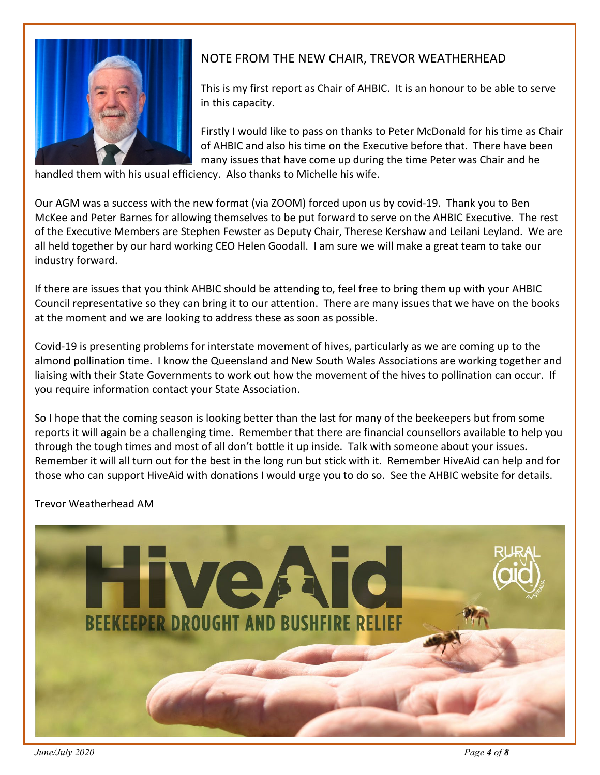

# NOTE FROM THE NEW CHAIR, TREVOR WEATHERHEAD

This is my first report as Chair of AHBIC. It is an honour to be able to serve in this capacity.

Firstly I would like to pass on thanks to Peter McDonald for his time as Chair of AHBIC and also his time on the Executive before that. There have been many issues that have come up during the time Peter was Chair and he

handled them with his usual efficiency. Also thanks to Michelle his wife.

Our AGM was a success with the new format (via ZOOM) forced upon us by covid-19. Thank you to Ben McKee and Peter Barnes for allowing themselves to be put forward to serve on the AHBIC Executive. The rest of the Executive Members are Stephen Fewster as Deputy Chair, Therese Kershaw and Leilani Leyland. We are all held together by our hard working CEO Helen Goodall. I am sure we will make a great team to take our industry forward.

If there are issues that you think AHBIC should be attending to, feel free to bring them up with your AHBIC Council representative so they can bring it to our attention. There are many issues that we have on the books at the moment and we are looking to address these as soon as possible.

Covid-19 is presenting problems for interstate movement of hives, particularly as we are coming up to the almond pollination time. I know the Queensland and New South Wales Associations are working together and liaising with their State Governments to work out how the movement of the hives to pollination can occur. If you require information contact your State Association.

So I hope that the coming season is looking better than the last for many of the beekeepers but from some reports it will again be a challenging time. Remember that there are financial counsellors available to help you through the tough times and most of all don't bottle it up inside. Talk with someone about your issues. Remember it will all turn out for the best in the long run but stick with it. Remember HiveAid can help and for those who can support HiveAid with donations I would urge you to do so. See the AHBIC website for details.

Trevor Weatherhead AM



*June/July 2020 Page 4 of 8*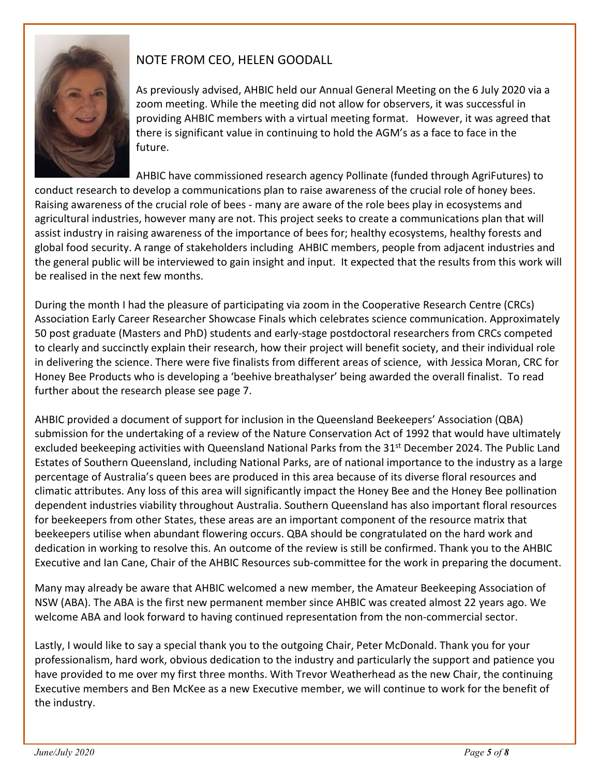

# NOTE FROM CEO, HELEN GOODALL

As previously advised, AHBIC held our Annual General Meeting on the 6 July 2020 via a zoom meeting. While the meeting did not allow for observers, it was successful in providing AHBIC members with a virtual meeting format. However, it was agreed that there is significant value in continuing to hold the AGM's as a face to face in the future.

AHBIC have commissioned research agency Pollinate (funded through AgriFutures) to conduct research to develop a communications plan to raise awareness of the crucial role of honey bees. Raising awareness of the crucial role of bees - many are aware of the role bees play in ecosystems and agricultural industries, however many are not. This project seeks to create a communications plan that will assist industry in raising awareness of the importance of bees for; healthy ecosystems, healthy forests and global food security. A range of stakeholders including AHBIC members, people from adjacent industries and the general public will be interviewed to gain insight and input. It expected that the results from this work will be realised in the next few months.

During the month I had the pleasure of participating via zoom in the Cooperative Research Centre (CRCs) Association Early Career Researcher Showcase Finals which celebrates science communication. Approximately 50 post graduate (Masters and PhD) students and early-stage postdoctoral researchers from CRCs competed to clearly and succinctly explain their research, how their project will benefit society, and their individual role in delivering the science. There were five finalists from different areas of science, with Jessica Moran, CRC for Honey Bee Products who is developing a 'beehive breathalyser' being awarded the overall finalist. To read further about the research please see page 7.

AHBIC provided a document of support for inclusion in the Queensland Beekeepers' Association (QBA) submission for the undertaking of a review of the Nature Conservation Act of 1992 that would have ultimately excluded beekeeping activities with Queensland National Parks from the 31st December 2024. The Public Land Estates of Southern Queensland, including National Parks, are of national importance to the industry as a large percentage of Australia's queen bees are produced in this area because of its diverse floral resources and climatic attributes. Any loss of this area will significantly impact the Honey Bee and the Honey Bee pollination dependent industries viability throughout Australia. Southern Queensland has also important floral resources for beekeepers from other States, these areas are an important component of the resource matrix that beekeepers utilise when abundant flowering occurs. QBA should be congratulated on the hard work and dedication in working to resolve this. An outcome of the review is still be confirmed. Thank you to the AHBIC Executive and Ian Cane, Chair of the AHBIC Resources sub-committee for the work in preparing the document.

Many may already be aware that AHBIC welcomed a new member, the Amateur Beekeeping Association of NSW (ABA). The ABA is the first new permanent member since AHBIC was created almost 22 years ago. We welcome ABA and look forward to having continued representation from the non-commercial sector.

Lastly, I would like to say a special thank you to the outgoing Chair, Peter McDonald. Thank you for your professionalism, hard work, obvious dedication to the industry and particularly the support and patience you have provided to me over my first three months. With Trevor Weatherhead as the new Chair, the continuing Executive members and Ben McKee as a new Executive member, we will continue to work for the benefit of the industry.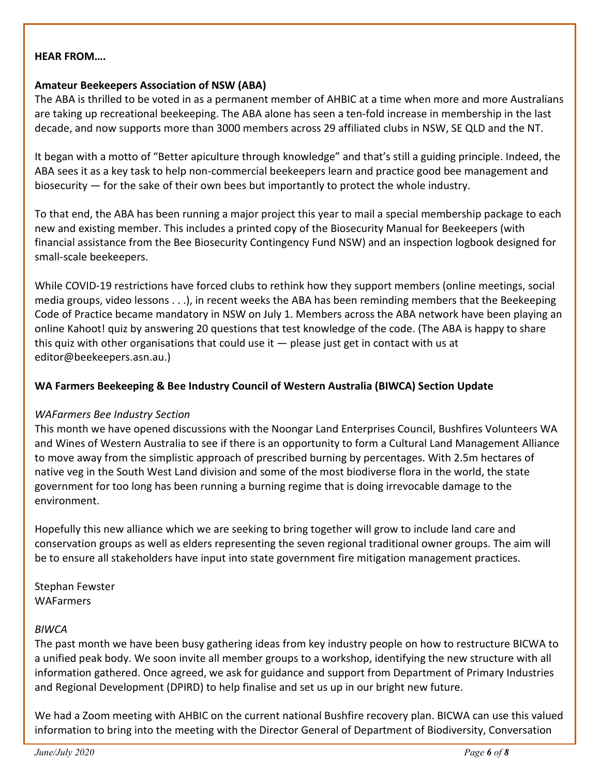### **HEAR FROM….**

## **Amateur Beekeepers Association of NSW (ABA)**

The ABA is thrilled to be voted in as a permanent member of AHBIC at a time when more and more Australians are taking up recreational beekeeping. The ABA alone has seen a ten-fold increase in membership in the last decade, and now supports more than 3000 members across 29 affiliated clubs in NSW, SE QLD and the NT.

It began with a motto of "Better apiculture through knowledge" and that's still a guiding principle. Indeed, the ABA sees it as a key task to help non-commercial beekeepers learn and practice good bee management and biosecurity — for the sake of their own bees but importantly to protect the whole industry.

To that end, the ABA has been running a major project this year to mail a special membership package to each new and existing member. This includes a printed copy of the Biosecurity Manual for Beekeepers (with financial assistance from the Bee Biosecurity Contingency Fund NSW) and an inspection logbook designed for small-scale beekeepers.

While COVID-19 restrictions have forced clubs to rethink how they support members (online meetings, social media groups, video lessons . . .), in recent weeks the ABA has been reminding members that the Beekeeping Code of Practice became mandatory in NSW on July 1. Members across the ABA network have been playing an online Kahoot! quiz by answering 20 questions that test knowledge of the code. (The ABA is happy to share this quiz with other organisations that could use it — please just get in contact with us at [editor@beekeepers.asn.au.](mailto:editor@beekeepers.asn.au))

## **WA Farmers Beekeeping & Bee Industry Council of Western Australia (BIWCA) Section Update**

## *WAFarmers Bee Industry Section*

This month we have opened discussions with the Noongar Land Enterprises Council, Bushfires Volunteers WA and Wines of Western Australia to see if there is an opportunity to form a Cultural Land Management Alliance to move away from the simplistic approach of prescribed burning by percentages. With 2.5m hectares of native veg in the South West Land division and some of the most biodiverse flora in the world, the state government for too long has been running a burning regime that is doing irrevocable damage to the environment.

Hopefully this new alliance which we are seeking to bring together will grow to include land care and conservation groups as well as elders representing the seven regional traditional owner groups. The aim will be to ensure all stakeholders have input into state government fire mitigation management practices.

Stephan Fewster WAFarmers

## *BIWCA*

The past month we have been busy gathering ideas from key industry people on how to restructure BICWA to a unified peak body. We soon invite all member groups to a workshop, identifying the new structure with all information gathered. Once agreed, we ask for guidance and support from Department of Primary Industries and Regional Development (DPIRD) to help finalise and set us up in our bright new future.

We had a Zoom meeting with AHBIC on the current national Bushfire recovery plan. BICWA can use this valued information to bring into the meeting with the Director General of Department of Biodiversity, Conversation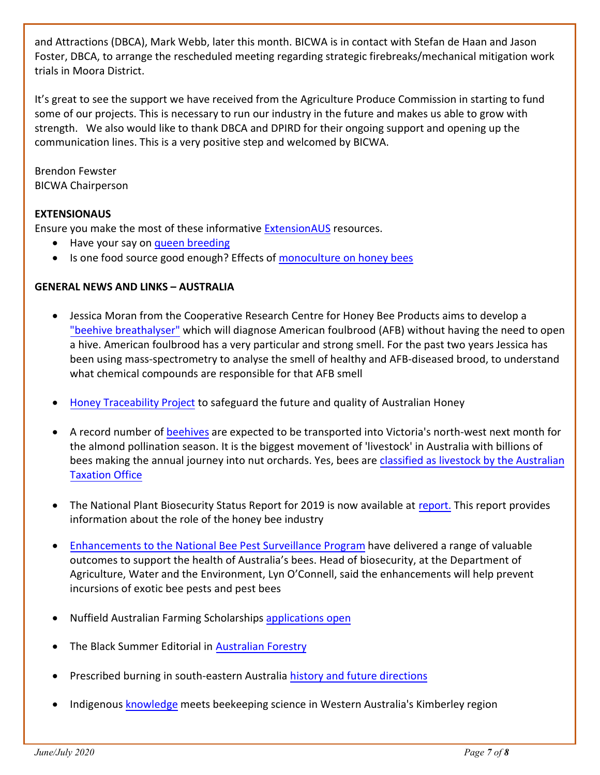and Attractions (DBCA), Mark Webb, later this month. BICWA is in contact with Stefan de Haan and Jason Foster, DBCA, to arrange the rescheduled meeting regarding strategic firebreaks/mechanical mitigation work trials in Moora District.

It's great to see the support we have received from the Agriculture Produce Commission in starting to fund some of our projects. This is necessary to run our industry in the future and makes us able to grow with strength. We also would like to thank DBCA and DPIRD for their ongoing support and opening up the communication lines. This is a very positive step and welcomed by BICWA.

Brendon Fewster BICWA Chairperson

# **EXTENSIONAUS**

Ensure you make the most of these informative [ExtensionAUS](https://extensionaus.com.au/) resources.

- Have your say on [queen breeding](https://extensionaus.com.au/professionalbeekeepers/have-your-say-on-queen-breeding/)
- Is one food source good enough? Effects of [monoculture on honey bees](https://extensionaus.com.au/professionalbeekeepers/is-one-food-source-good-enough-effects-of-monoculture-on-honey-bees/)

# **GENERAL NEWS AND LINKS – AUSTRALIA**

- Jessica Moran from the Cooperative Research Centre for Honey Bee Products aims to develop a ["beehive breathalyser"](http://www.crchoneybeeproducts.com/bee-hive-breathalyser-sniffs-out-deadly-disease/) which will diagnose American foulbrood (AFB) without having the need to open a hive. American foulbrood has a very particular and strong smell. For the past two years Jessica has been using mass-spectrometry to analyse the smell of healthy and AFB-diseased brood, to understand what chemical compounds are responsible for that AFB smell
- [Honey Traceability Project](http://www.crchoneybeeproducts.com/crchbps-honey-traceability-project/) to safeguard the future and quality of Australian Honey
- A record number of [beehives](https://www.abc.net.au/news/rural/2020-06-30/almond-pollination-season-plans-drought-bees/12397316) [ar](https://www.abc.net.au/news/rural/2020-06-30/almond-pollination-season-plans-drought-bees/12397316)e expected to be transported into Victoria's north-west next month for the almond pollination season. It is the biggest movement of 'livestock' in Australia with billions of bees making the annual journey into nut orchards. Yes, bees are [classified as livestock by](https://www.ato.gov.au/Individuals/Tax-return/2020/In-detail/Publications/Information-for-primary-producers-2020/?page=6) the Australian [Taxation Office](https://www.ato.gov.au/Individuals/Tax-return/2020/In-detail/Publications/Information-for-primary-producers-2020/?page=6)
- The National Plant Biosecurity Status Report for 2019 is now available at [report.](https://eur04.safelinks.protection.outlook.com/?url=http%3A%2F%2Fplanthealthaustralia.com.au%2Fnpbsr&data=02%7C01%7C%7Cb06a976ab73a49d0c3d608d81e403419%7C84df9e7fe9f640afb435aaaaaaaaaaaa%7C1%7C0%7C637292609668896682&sdata=mPfuqKDs0pPRPYidMY7wGotO6PoJw34zOcFEdOTnJyw%3D&reserved=0) This report provides information about the role of the honey bee industry
- Enhancements to the National Bee [Pest Surveillance Program](https://www.awe.gov.au/news/media-releases/enhancing-australias-bee-pest-surveillance) have delivered a range of valuable outcomes to support the health of Australia's bees. Head of biosecurity, at the Department of Agriculture, Water and the Environment, Lyn O'Connell, said the enhancements will help prevent incursions of exotic bee pests and pest bees
- Nuffield Australian Farming Scholarships [applications open](https://www.nuffield.com.au/)
- The Black Summer Editorial in [Australian Forestry](https://nam12.safelinks.protection.outlook.com/?url=https%3A%2F%2Fwww.tandfonline.com%2Fdoi%2Ffull%2F10.1080%2F00049158.2020.1769899&data=02%7C01%7C%7C61e7f562cf304e368cfd08d813630f2b%7C84df9e7fe9f640afb435aaaaaaaaaaaa%7C1%7C0%7C637280663468595281&sdata=1uHalFhPMaQSGaJEMqR1k253pPh%2FciequtEQjsrRF%2Fo%3D&reserved=0)
- Prescribed burning in south-eastern Australia history [and future directions](https://nam12.safelinks.protection.outlook.com/?url=https%3A%2F%2Fwww.tandfonline.com%2Fdoi%2Ffull%2F10.1080%2F00049158.2020.1739883%3Fsrc%3Drecsys%250d&data=02%7C01%7C%7C61e7f562cf304e368cfd08d813630f2b%7C84df9e7fe9f640afb435aaaaaaaaaaaa%7C1%7C0%7C637280663468595281&sdata=QA96Rmq8VJZN0aq%2BfUH0ZH86COkvakKVce1D10ANMzE%3D&reserved=0)
- Indigenous [knowledge](https://www.abc.net.au/news/rural/2020-06-14/wach-bush-honey-indigenous-knowledge-beekeeping/12307510) meets beekeeping science in Western Australia's Kimberley region